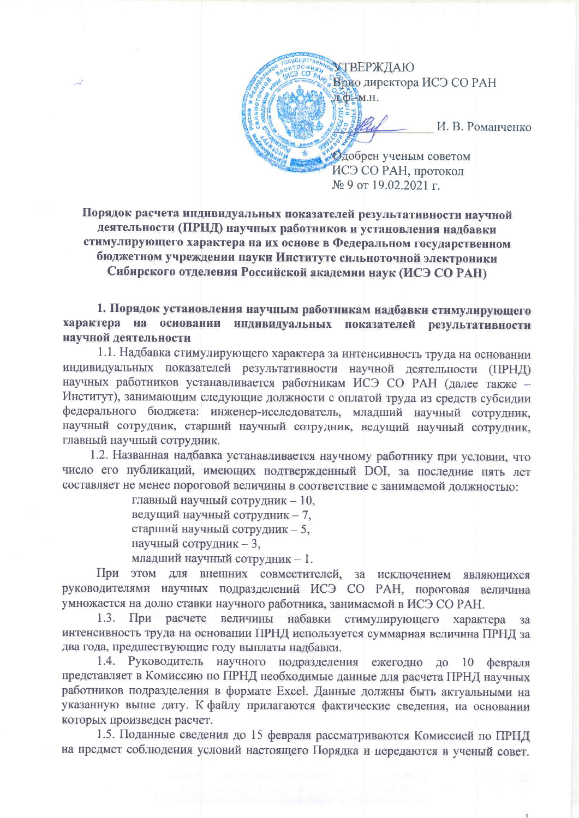И. В. Романченко

Одобрен ученым советом ИСЭ СО РАН, протокол № 9 от 19.02.2021 г.

Врио директора ИСЭ СО РАН

**УТВЕРЖДАЮ** 

**д.ф.-м.н.** 

Порядок расчета индивидуальных показателей результативности научной деятельности (ПРНД) научных работников и установления надбавки стимулирующего характера на их основе в Федеральном государственном бюджетном учреждении науки Институте сильноточной электроники Сибирского отделения Российской академии наук (ИСЭ СО РАН)

1. Порядок установления научным работникам надбавки стимулирующего характера на основании индивидуальных показателей результативности научной деятельности

1.1. Надбавка стимулирующего характера за интенсивность труда на основании индивидуальных показателей результативности научной деятельности (ПРНД) научных работников устанавливается работникам ИСЭ СО РАН (далее также -Институт), занимающим следующие должности с оплатой труда из средств субсидии федерального бюджета: инженер-исследователь, младший научный сотрудник, научный сотрудник, старший научный сотрудник, ведущий научный сотрудник, главный научный сотрудник.

1.2. Названная надбавка устанавливается научному работнику при условии, что число его публикаций, имеющих подтвержденный DOI, за последние пять лет составляет не менее пороговой величины в соответствие с занимаемой должностью:

> главный научный сотрудник - 10, ведущий научный сотрудник - 7, старший научный сотрудник - 5, научный сотрудник - 3, младший научный сотрудник - 1.

При этом для внешних совместителей, за исключением являющихся руководителями научных подразделений ИСЭ СО РАН, пороговая величина умножается на долю ставки научного работника, занимаемой в ИСЭ СО РАН.

расчете величины набавки  $1.3.$ При стимулирующего характера  $3a$ интенсивность труда на основании ПРНД используется суммарная величина ПРНД за два года, предшествующие году выплаты надбавки.

1.4. Руководитель научного подразделения ежегодно до 10 февраля представляет в Комиссию по ПРНД необходимые данные для расчета ПРНД научных работников подразделения в формате Excel. Данные должны быть актуальными на указанную выше дату. К файлу прилагаются фактические сведения, на основании которых произведен расчет.

1.5. Поданные сведения до 15 февраля рассматриваются Комиссией по ПРНД на предмет соблюдения условий настоящего Порядка и передаются в ученый совет.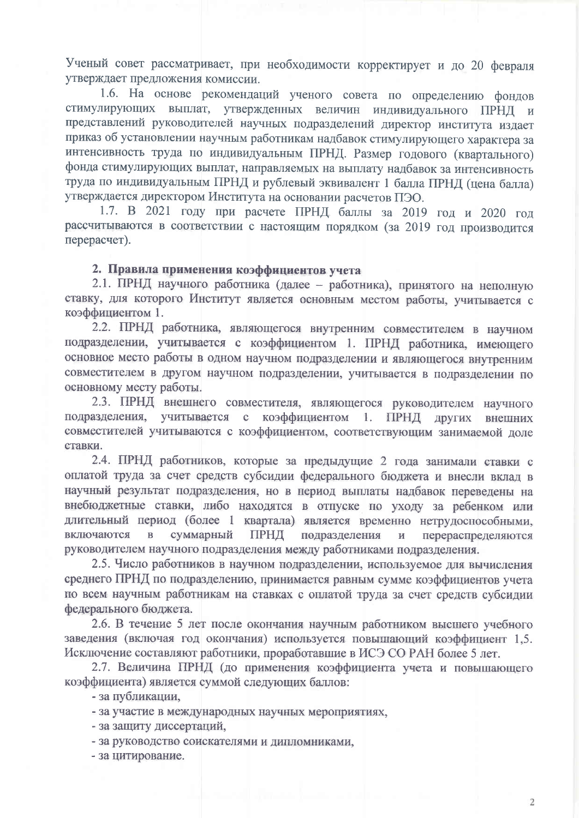Ученый совет рассматривает, при необходимости корректирует и до 20 февраля утверждает предложения комиссии.

1.6. На основе рекомендаций ученого совета по определению фондов стимулирующих выплат, утвержденных величин индивидуального ПРНД и представлений руководителей научных подразделений директор института издает приказ об установлении научным работникам надбавок стимулирующего характера за интенсивность труда по индивидуальным ПРНД. Размер годового (квартального) фонда стимулирующих выплат, направляемых на выплату надбавок за интенсивность труда по индивидуальным ПРНД и рублевый эквивалент 1 балла ПРНД (цена балла) утверждается директором Института на основании расчетов ПЭО.

1.7. В 2021 году при расчете ПРНД баллы за 2019 год и 2020 год рассчитываются в соответствии с настоящим порядком (за 2019 год производится перерасчет).

### 2. Правила применения коэффициентов учета

2.1. ПРНД научного работника (далее - работника), принятого на неполную ставку, для которого Институт является основным местом работы, учитывается с коэффициентом 1.

2.2. ПРНД работника, являющегося внутренним совместителем в научном подразделении, учитывается с коэффициентом 1. ПРНД работника, имеющего основное место работы в одном научном подразделении и являющегося внутренним совместителем в другом научном подразделении, учитывается в подразделении по основному месту работы.

2.3. ПРНД внешнего совместителя, являющегося руководителем научного учитывается подразделения, с коэффициентом 1. ПРНД других внешних совместителей учитываются с коэффициентом, соответствующим занимаемой доле ставки.

2.4. ПРНД работников, которые за предыдущие 2 года занимали ставки с оплатой труда за счет средств субсидии федерального бюджета и внесли вклад в научный результат подразделения, но в период выплаты надбавок переведены на внебюджетные ставки, либо находятся в отпуске по уходу за ребенком или длительный период (более 1 квартала) является временно нетрудоспособными, включаются  $\mathbf{B}$ суммарный ПРНД подразделения  $\mathbf M$ перераспределяются руководителем научного подразделения между работниками подразделения.

2.5. Число работников в научном подразделении, используемое для вычисления среднего ПРНД по подразделению, принимается равным сумме коэффициентов учета по всем научным работникам на ставках с оплатой труда за счет средств субсидии федерального бюджета.

2.6. В течение 5 лет после окончания научным работником высшего учебного заведения (включая год окончания) используется повышающий коэффициент 1,5. Исключение составляют работники, проработавшие в ИСЭ СО РАН более 5 лет.

2.7. Величина ПРНД (до применения коэффициента учета и повышающего коэффициента) является суммой следующих баллов:

- за публикации,

- за участие в международных научных мероприятиях,

- за защиту диссертаций,

- за руководство соискателями и дипломниками.

- за цитирование.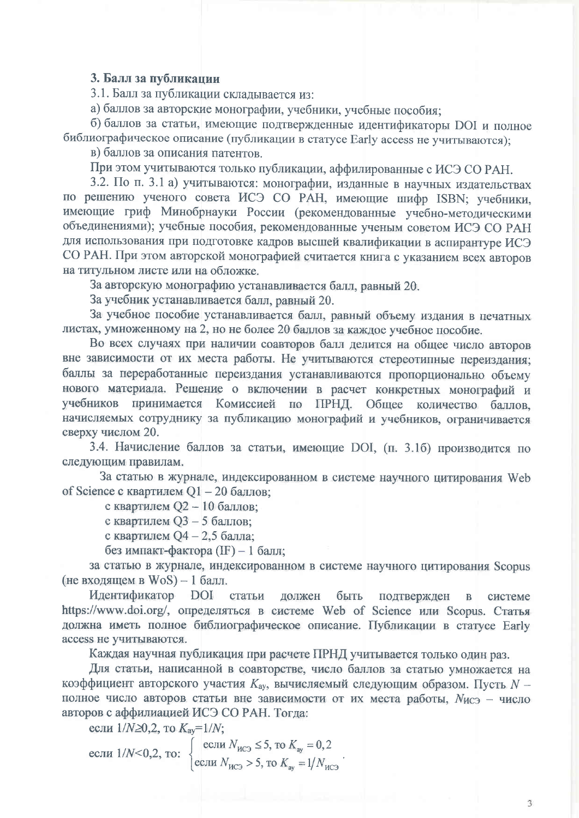### 3. Балл за публикации

3.1. Балл за публикации склалывается из:

а) баллов за авторские монографии, учебники, учебные пособия;

б) баллов за статьи, имеющие подтвержденные идентификаторы DOI и полное библиографическое описание (публикации в статусе Early access не учитываются);

в) баллов за описания патентов.

При этом учитываются только публикации, аффилированные с ИСЭ СО РАН.

3.2. По п. 3.1 а) учитываются: монографии, изданные в научных издательствах по решению ученого совета ИСЭ СО РАН, имеющие шифр ISBN: учебники. имеющие гриф Минобрнауки России (рекомендованные учебно-методическими объединениями); учебные пособия, рекомендованные ученым советом ИСЭ СО РАН для использования при подготовке кадров высшей квалификации в аспирантуре ИСЭ СО РАН. При этом авторской монографией считается книга с указанием всех авторов на титульном листе или на обложке.

За авторскую монографию устанавливается балл, равный 20.

За учебник устанавливается балл, равный 20.

За учебное пособие устанавливается балл, равный объему издания в печатных листах, умноженному на 2, но не более 20 баллов за каждое учебное пособие.

Во всех случаях при наличии соавторов балл делится на общее число авторов вне зависимости от их места работы. Не учитываются стереотипные переиздания; баллы за переработанные переиздания устанавливаются пропорционально объему нового материала. Решение о включении в расчет конкретных монографий и учебников принимается Комиссией по ПРНД. Общее количество баллов, начисляемых сотруднику за публикацию монографий и учебников, ограничивается сверху числом 20.

3.4. Начисление баллов за статьи, имеющие DOI, (п. 3.16) производится по следующим правилам.

За статью в журнале, индексированном в системе научного цитирования Web of Science с квартилем  $Q1 - 20$  баллов;

с квартилем Q2 - 10 баллов;

с квартилем Q3 - 5 баллов;

с квартилем  $Q4 - 2.5$  балла;

без импакт-фактора (IF) - 1 балл;

за статью в журнале, индексированном в системе научного цитирования Scopus (не входящем в  $WoS$ ) - 1 балл.

Идентификатор DOI статьи должен быть подтвержден  $\mathbf{B}$ системе https://www.doi.org/, определяться в системе Web of Science или Scopus. Статья должна иметь полное библиографическое описание. Публикации в статусе Early access не учитываются.

Каждая научная публикация при расчете ПРНД учитывается только один раз.

Для статьи, написанной в соавторстве, число баллов за статью умножается на коэффициент авторского участия  $K_{av}$ , вычисляемый следующим образом. Пусть  $N$ полное число авторов статьи вне зависимости от их места работы,  $N_{HC}$  - число авторов с аффилиацией ИСЭ СО РАН. Тогда:

ecли  $1/N \ge 0, 2$ , то  $K_{\text{ay}} = 1/N$ ;<br>
ecли  $1/N < 0, 2$ , то:  $\begin{cases} \text{ecmin } N_{\text{HC}3} \le 5 \text{, to } K_{\text{ay}} = 0, 2 \\ \text{ecmin } N_{\text{HC}3} > 5 \text{, to } K_{\text{ay}} = 1/N_{\text{HC}3} \end{cases}$ .

 $\overline{3}$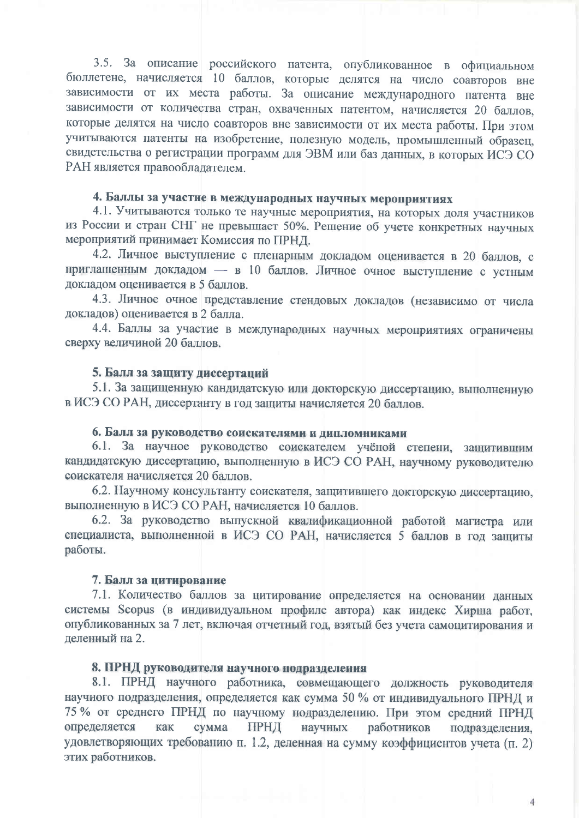3.5. За описание российского патента, опубликованное в официальном бюллетене, начисляется 10 баллов, которые делятся на число соавторов вне зависимости от их места работы. За описание международного патента вне зависимости от количества стран, охваченных патентом, начисляется 20 баллов, которые делятся на число соавторов вне зависимости от их места работы. При этом учитываются патенты на изобретение, полезную модель, промышленный образец, свидетельства о регистрации программ для ЭВМ или баз данных, в которых ИСЭ СО РАН является правообладателем.

# 4. Баллы за участие в международных научных мероприятиях

4.1. Учитываются только те научные мероприятия, на которых доля участников из России и стран СНГ не превышает 50%. Решение об учете конкретных научных мероприятий принимает Комиссия по ПРНД.

4.2. Личное выступление с пленарным докладом оценивается в 20 баллов, с приглашенным докладом - в 10 баллов. Личное очное выступление с устным докладом оценивается в 5 баллов.

4.3. Личное очное представление стендовых докладов (независимо от числа докладов) оценивается в 2 балла.

4.4. Баллы за участие в международных научных мероприятиях ограничены сверху величиной 20 баллов.

#### 5. Балл за защиту диссертаций

5.1. За защищенную кандидатскую или докторскую диссертацию, выполненную в ИСЭ СО РАН, диссертанту в год защиты начисляется 20 баллов.

## 6. Балл за руководство соискателями и дипломниками

6.1. За научное руководство соискателем учёной степени, защитившим кандидатскую диссертацию, выполненную в ИСЭ СО РАН, научному руководителю соискателя начисляется 20 баллов.

6.2. Научному консультанту соискателя, защитившего докторскую диссертацию, выполненную в ИСЭ СО РАН, начисляется 10 баллов.

6.2. За руководство выпускной квалификационной работой магистра или специалиста, выполненной в ИСЭ СО РАН, начисляется 5 баллов в год защиты работы.

## 7. Балл за цитирование

7.1. Количество баллов за цитирование определяется на основании данных системы Scopus (в индивидуальном профиле автора) как индекс Хирша работ, опубликованных за 7 лет, включая отчетный год, взятый без учета самоцитирования и деленный на 2.

## 8. ПРНД руководителя научного подразделения

8.1. ПРНД научного работника, совмещающего должность руководителя научного подразделения, определяется как сумма 50 % от индивидуального ПРНД и 75 % от среднего ПРНД по научному подразделению. При этом средний ПРНД научных определяется как сумма ПРНД работников подразделения, удовлетворяющих требованию п. 1.2, деленная на сумму коэффициентов учета (п. 2) этих работников.